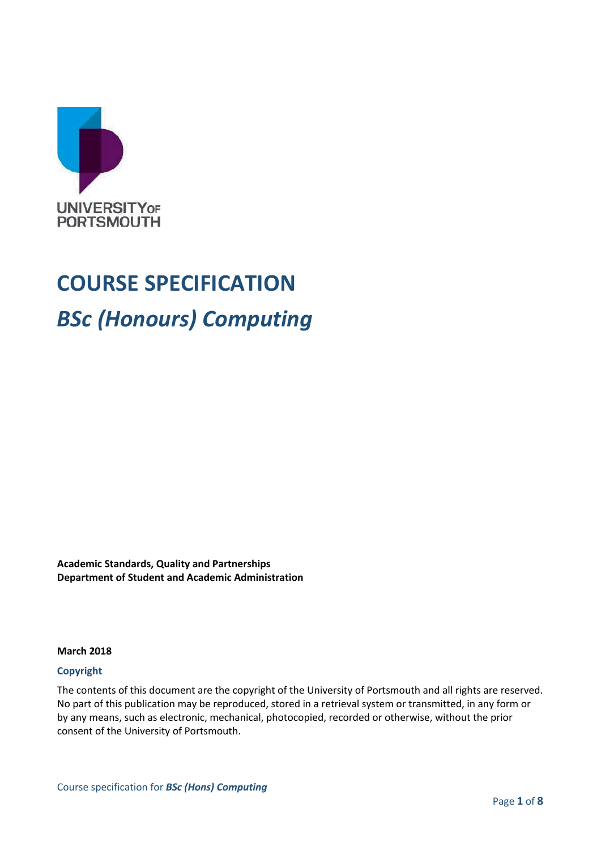

# **COURSE SPECIFICATION** *BSc (Honours) Computing*

**Academic Standards, Quality and Partnerships Department of Student and Academic Administration**

#### **March 2018**

#### **Copyright**

The contents of this document are the copyright of the University of Portsmouth and all rights are reserved. No part of this publication may be reproduced, stored in a retrieval system or transmitted, in any form or by any means, such as electronic, mechanical, photocopied, recorded or otherwise, without the prior consent of the University of Portsmouth.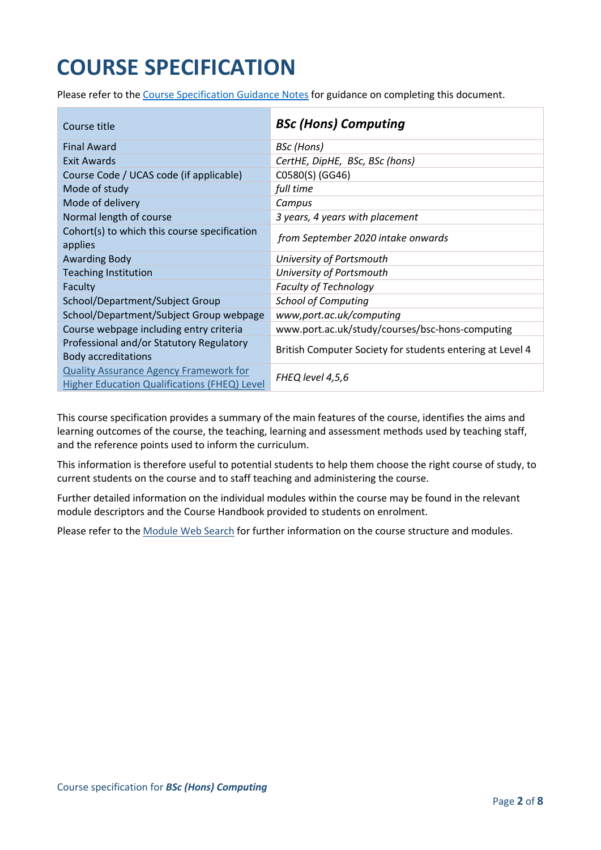## **COURSE SPECIFICATION**

Please refer to the [Course Specification Guidance Notes](http://www.port.ac.uk/departments/services/academicregistry/qmd/curriculum-framework-2019-20/filetodownload,201767,en.docx) for guidance on completing this document.

| Course title                                                                                         | <b>BSc (Hons) Computing</b>                               |
|------------------------------------------------------------------------------------------------------|-----------------------------------------------------------|
| <b>Final Award</b>                                                                                   | BSc (Hons)                                                |
| Exit Awards                                                                                          | CertHE, DipHE, BSc, BSc (hons)                            |
| Course Code / UCAS code (if applicable)                                                              | C0580(S) (GG46)                                           |
| Mode of study                                                                                        | full time                                                 |
| Mode of delivery                                                                                     | Campus                                                    |
| Normal length of course                                                                              | 3 years, 4 years with placement                           |
| Cohort(s) to which this course specification<br>applies                                              | from September 2020 intake onwards                        |
| <b>Awarding Body</b>                                                                                 | University of Portsmouth                                  |
| <b>Teaching Institution</b>                                                                          | University of Portsmouth                                  |
| Faculty                                                                                              | <b>Faculty of Technology</b>                              |
| School/Department/Subject Group                                                                      | <b>School of Computing</b>                                |
| School/Department/Subject Group webpage                                                              | www,port.ac.uk/computing                                  |
| Course webpage including entry criteria                                                              | www.port.ac.uk/study/courses/bsc-hons-computing           |
| Professional and/or Statutory Regulatory<br><b>Body accreditations</b>                               | British Computer Society for students entering at Level 4 |
| <b>Quality Assurance Agency Framework for</b><br><b>Higher Education Qualifications (FHEQ) Level</b> | FHEQ level 4,5,6                                          |

This course specification provides a summary of the main features of the course, identifies the aims and learning outcomes of the course, the teaching, learning and assessment methods used by teaching staff, and the reference points used to inform the curriculum.

This information is therefore useful to potential students to help them choose the right course of study, to current students on the course and to staff teaching and administering the course.

Further detailed information on the individual modules within the course may be found in the relevant module descriptors and the Course Handbook provided to students on enrolment.

Please refer to the [Module Web Search](https://register.port.ac.uk/ords/f?p=111:1:0:::::) for further information on the course structure and modules.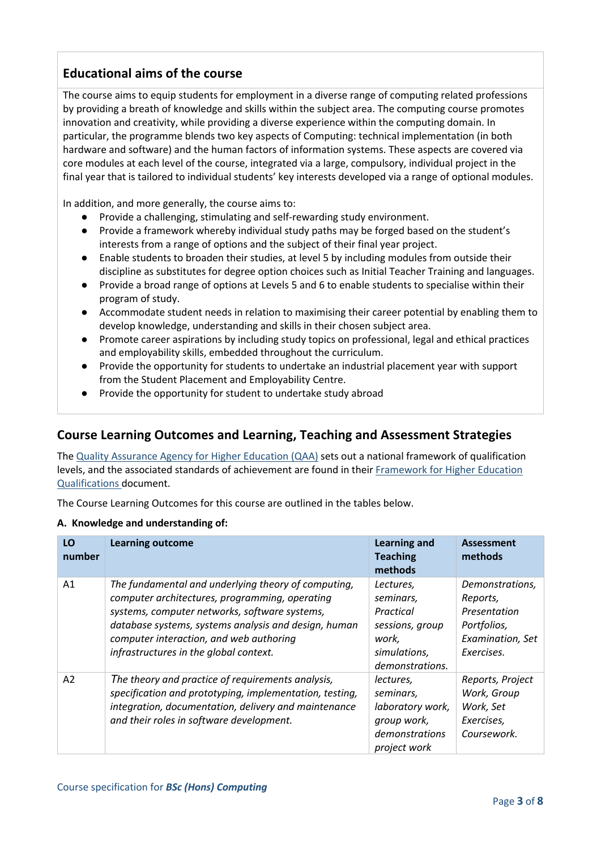## **Educational aims of the course**

The course aims to equip students for employment in a diverse range of computing related professions by providing a breath of knowledge and skills within the subject area. The computing course promotes innovation and creativity, while providing a diverse experience within the computing domain. In particular, the programme blends two key aspects of Computing: technical implementation (in both hardware and software) and the human factors of information systems. These aspects are covered via core modules at each level of the course, integrated via a large, compulsory, individual project in the final year that is tailored to individual students' key interests developed via a range of optional modules.

In addition, and more generally, the course aims to:

- Provide a challenging, stimulating and self-rewarding study environment.
- Provide a framework whereby individual study paths may be forged based on the student's interests from a range of options and the subject of their final year project.
- Enable students to broaden their studies, at level 5 by including modules from outside their discipline as substitutes for degree option choices such as Initial Teacher Training and languages.
- Provide a broad range of options at Levels 5 and 6 to enable students to specialise within their program of study.
- Accommodate student needs in relation to maximising their career potential by enabling them to develop knowledge, understanding and skills in their chosen subject area.
- Promote career aspirations by including study topics on professional, legal and ethical practices and employability skills, embedded throughout the curriculum.
- Provide the opportunity for students to undertake an industrial placement year with support from the Student Placement and Employability Centre.
- Provide the opportunity for student to undertake study abroad

## **Course Learning Outcomes and Learning, Teaching and Assessment Strategies**

The [Quality Assurance Agency for Higher Education \(QAA\)](http://www.qaa.ac.uk/en) sets out a national framework of qualification levels, and the associated standards of achievement are found in their [Framework for Higher Education](https://www.qaa.ac.uk/docs/qaa/quality-code/qualifications-frameworks.pdf?sfvrsn=170af781_16)  [Qualifications](https://www.qaa.ac.uk/docs/qaa/quality-code/qualifications-frameworks.pdf?sfvrsn=170af781_16) document.

The Course Learning Outcomes for this course are outlined in the tables below.

#### **A. Knowledge and understanding of:**

| LO<br>number   | <b>Learning outcome</b>                                                                                                                                                                                                                                                                             | <b>Learning and</b><br><b>Teaching</b><br>methods                                                  | <b>Assessment</b><br>methods                                                                 |
|----------------|-----------------------------------------------------------------------------------------------------------------------------------------------------------------------------------------------------------------------------------------------------------------------------------------------------|----------------------------------------------------------------------------------------------------|----------------------------------------------------------------------------------------------|
| A <sub>1</sub> | The fundamental and underlying theory of computing,<br>computer architectures, programming, operating<br>systems, computer networks, software systems,<br>database systems, systems analysis and design, human<br>computer interaction, and web authoring<br>infrastructures in the global context. | Lectures,<br>seminars,<br>Practical<br>sessions, group<br>work,<br>simulations,<br>demonstrations. | Demonstrations,<br>Reports,<br>Presentation<br>Portfolios,<br>Examination, Set<br>Exercises. |
| A2             | The theory and practice of requirements analysis,<br>specification and prototyping, implementation, testing,<br>integration, documentation, delivery and maintenance<br>and their roles in software development.                                                                                    | lectures,<br>seminars,<br>laboratory work,<br>group work,<br>demonstrations<br>project work        | Reports, Project<br>Work, Group<br>Work, Set<br>Exercises,<br>Coursework.                    |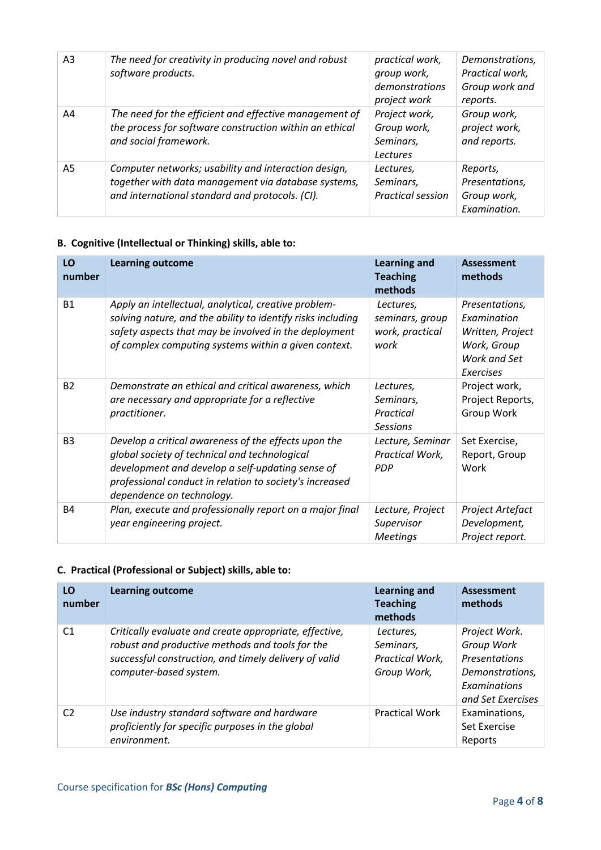| A <sub>3</sub> | The need for creativity in producing novel and robust<br>software products.                                                                                    | practical work,<br>group work,<br>demonstrations<br>project work | Demonstrations,<br>Practical work,<br>Group work and<br>reports. |
|----------------|----------------------------------------------------------------------------------------------------------------------------------------------------------------|------------------------------------------------------------------|------------------------------------------------------------------|
| A4             | The need for the efficient and effective management of<br>the process for software construction within an ethical<br>and social framework.                     | Project work,<br>Group work,<br>Seminars,<br><b>Lectures</b>     | Group work,<br>project work,<br>and reports.                     |
| A5             | Computer networks; usability and interaction design,<br>together with data management via database systems,<br>and international standard and protocols. (CI). | Lectures.<br>Seminars,<br><b>Practical session</b>               | Reports,<br>Presentations,<br>Group work,<br>Examination.        |

## **B. Cognitive (Intellectual or Thinking) skills, able to:**

| LO<br>number   | <b>Learning outcome</b>                                                                                                                                                                                                                           | <b>Learning and</b><br><b>Teaching</b><br>methods       | <b>Assessment</b><br>methods                                                                  |
|----------------|---------------------------------------------------------------------------------------------------------------------------------------------------------------------------------------------------------------------------------------------------|---------------------------------------------------------|-----------------------------------------------------------------------------------------------|
| <b>B1</b>      | Apply an intellectual, analytical, creative problem-<br>solving nature, and the ability to identify risks including<br>safety aspects that may be involved in the deployment<br>of complex computing systems within a given context.              | Lectures,<br>seminars, group<br>work, practical<br>work | Presentations,<br>Examination<br>Written, Project<br>Work, Group<br>Work and Set<br>Exercises |
| <b>B2</b>      | Demonstrate an ethical and critical awareness, which<br>are necessary and appropriate for a reflective<br>practitioner.                                                                                                                           | Lectures,<br>Seminars,<br>Practical<br><b>Sessions</b>  | Project work,<br>Project Reports,<br>Group Work                                               |
| B <sub>3</sub> | Develop a critical awareness of the effects upon the<br>global society of technical and technological<br>development and develop a self-updating sense of<br>professional conduct in relation to society's increased<br>dependence on technology. | Lecture, Seminar<br>Practical Work,<br><b>PDP</b>       | Set Exercise,<br>Report, Group<br>Work                                                        |
| <b>B4</b>      | Plan, execute and professionally report on a major final<br>year engineering project.                                                                                                                                                             | Lecture, Project<br>Supervisor<br><b>Meetings</b>       | Project Artefact<br>Development,<br>Project report.                                           |

#### **C. Practical (Professional or Subject) skills, able to:**

| LO<br>number   | <b>Learning outcome</b>                                                                                                                                                                      | <b>Learning and</b><br><b>Teaching</b><br>methods        | Assessment<br>methods                                                                                       |
|----------------|----------------------------------------------------------------------------------------------------------------------------------------------------------------------------------------------|----------------------------------------------------------|-------------------------------------------------------------------------------------------------------------|
| C <sub>1</sub> | Critically evaluate and create appropriate, effective,<br>robust and productive methods and tools for the<br>successful construction, and timely delivery of valid<br>computer-based system. | Lectures.<br>Seminars,<br>Practical Work,<br>Group Work, | Project Work.<br>Group Work<br><b>Presentations</b><br>Demonstrations,<br>Examinations<br>and Set Exercises |
| C <sub>2</sub> | Use industry standard software and hardware<br>proficiently for specific purposes in the global<br>environment.                                                                              | <b>Practical Work</b>                                    | Examinations,<br>Set Exercise<br>Reports                                                                    |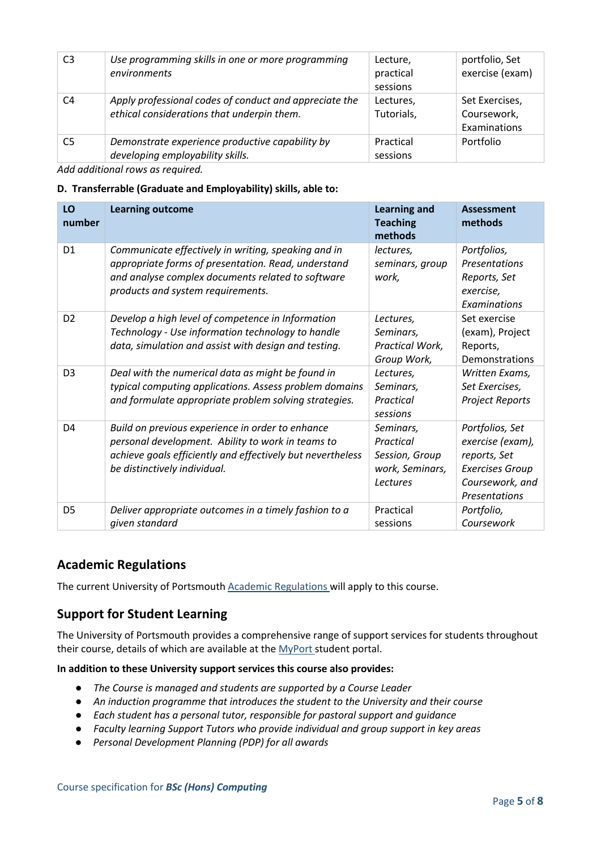| C <sub>3</sub> | Use programming skills in one or more programming<br>environments                                    | Lecture,<br>practical<br>sessions | portfolio, Set<br>exercise (exam)             |
|----------------|------------------------------------------------------------------------------------------------------|-----------------------------------|-----------------------------------------------|
| C <sub>4</sub> | Apply professional codes of conduct and appreciate the<br>ethical considerations that underpin them. | Lectures,<br>Tutorials,           | Set Exercises,<br>Coursework,<br>Examinations |
| C <sub>5</sub> | Demonstrate experience productive capability by<br>developing employability skills.                  | Practical<br>sessions             | Portfolio                                     |

*Add additional rows as required.*

#### **D. Transferrable (Graduate and Employability) skills, able to:**

| LO<br>number   | <b>Learning outcome</b>                                                                                                                                                                              | <b>Learning and</b><br><b>Teaching</b><br>methods                       | <b>Assessment</b><br>methods                                                                                      |
|----------------|------------------------------------------------------------------------------------------------------------------------------------------------------------------------------------------------------|-------------------------------------------------------------------------|-------------------------------------------------------------------------------------------------------------------|
| D <sub>1</sub> | Communicate effectively in writing, speaking and in<br>appropriate forms of presentation. Read, understand<br>and analyse complex documents related to software<br>products and system requirements. | lectures,<br>seminars, group<br>work,                                   | Portfolios,<br>Presentations<br>Reports, Set<br>exercise,<br>Examinations                                         |
| D <sub>2</sub> | Develop a high level of competence in Information<br>Technology - Use information technology to handle<br>data, simulation and assist with design and testing.                                       | Lectures,<br>Seminars,<br>Practical Work,<br>Group Work,                | Set exercise<br>(exam), Project<br>Reports,<br>Demonstrations                                                     |
| D <sub>3</sub> | Deal with the numerical data as might be found in<br>typical computing applications. Assess problem domains<br>and formulate appropriate problem solving strategies.                                 | Lectures,<br>Seminars,<br>Practical<br>sessions                         | Written Exams,<br>Set Exercises,<br><b>Project Reports</b>                                                        |
| D <sub>4</sub> | Build on previous experience in order to enhance<br>personal development. Ability to work in teams to<br>achieve goals efficiently and effectively but nevertheless<br>be distinctively individual.  | Seminars,<br>Practical<br>Session, Group<br>work, Seminars,<br>Lectures | Portfolios, Set<br>exercise (exam),<br>reports, Set<br><b>Exercises Group</b><br>Coursework, and<br>Presentations |
| D <sub>5</sub> | Deliver appropriate outcomes in a timely fashion to a<br>given standard                                                                                                                              | Practical<br>sessions                                                   | Portfolio,<br>Coursework                                                                                          |

#### **Academic Regulations**

The current University of Portsmouth [Academic Regulations](http://policies.docstore.port.ac.uk/policy-107.pdf) will apply to this course.

## **Support for Student Learning**

The University of Portsmouth provides a comprehensive range of support services for students throughout their course, details of which are available at the [MyPort](http://myport.ac.uk/) student portal.

#### **In addition to these University support services this course also provides:**

- *The Course is managed and students are supported by a Course Leader*
- *An induction programme that introduces the student to the University and their course*
- *Each student has a personal tutor, responsible for pastoral support and guidance*
- *Faculty learning Support Tutors who provide individual and group support in key areas*
- *Personal Development Planning (PDP) for all awards*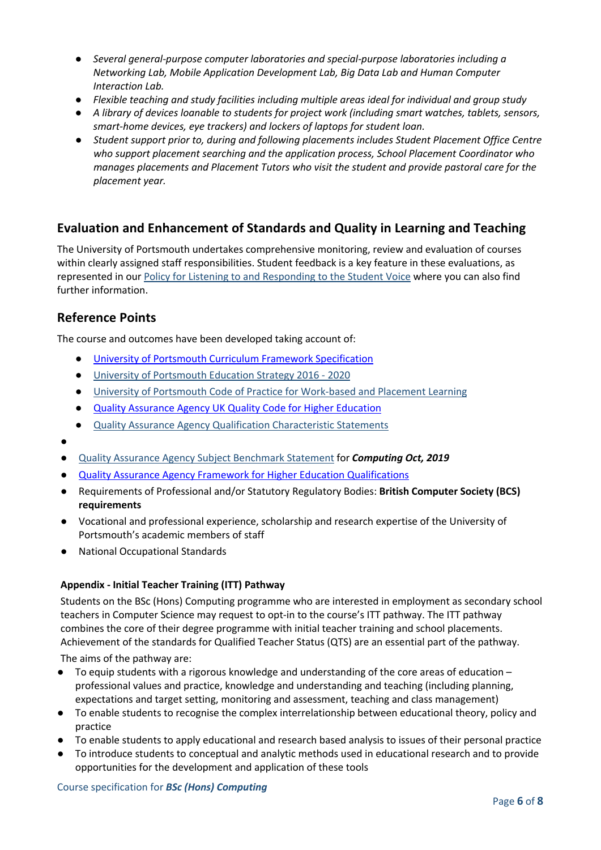- *Several general-purpose computer laboratories and special-purpose laboratories including a Networking Lab, Mobile Application Development Lab, Big Data Lab and Human Computer Interaction Lab.*
- *Flexible teaching and study facilities including multiple areas ideal for individual and group study*
- *A library of devices loanable to students for project work (including smart watches, tablets, sensors, smart-home devices, eye trackers) and lockers of laptops for student loan.*
- *Student support prior to, during and following placements includes Student Placement Office Centre who support placement searching and the application process, School Placement Coordinator who manages placements and Placement Tutors who visit the student and provide pastoral care for the placement year.*

## **Evaluation and Enhancement of Standards and Quality in Learning and Teaching**

The University of Portsmouth undertakes comprehensive monitoring, review and evaluation of courses within clearly assigned staff responsibilities. Student feedback is a key feature in these evaluations, as represented in our [Policy for Listening to and Responding to the Student Voice](http://policies.docstore.port.ac.uk/policy-069.pdf) where you can also find further information.

## **Reference Points**

The course and outcomes have been developed taking account of:

- [University of Portsmouth Curriculum Framework Specification](http://policies.docstore.port.ac.uk/policy-217.pdf)
- [University of Portsmouth Education Strategy 2016 -](http://policies.docstore.port.ac.uk/policy-187.pdf) 2020
- [University of Portsmouth Code of Practice for Work-based and Placement Learning](http://policies.docstore.port.ac.uk/policy-151.pdf)
- [Quality Assurance Agency UK Quality Code for Higher Education](https://www.qaa.ac.uk/quality-code)
- [Quality Assurance Agency Qualification Characteristic Statements](http://www.qaa.ac.uk/assuring-standards-and-quality/the-quality-code/characteristics-statements)
- ●
- [Quality Assurance Agency Subject Benchmark Statement](https://www.qaa.ac.uk/docs/qaa/subject-benchmark-statements/subject-benchmark-statement-computing.pdf?sfvrsn=ef2c881_10) for *Computing Oct, 2019*
- [Quality Assurance Agency Framework for Higher Education Qualifications](https://www.qaa.ac.uk/docs/qaa/quality-code/qualifications-frameworks.pdf?sfvrsn=170af781_16)
- Requirements of Professional and/or Statutory Regulatory Bodies: **British Computer Society (BCS) requirements**
- Vocational and professional experience, scholarship and research expertise of the University of Portsmouth's academic members of staff
- **National Occupational Standards**

#### **Appendix - Initial Teacher Training (ITT) Pathway**

Students on the BSc (Hons) Computing programme who are interested in employment as secondary school teachers in Computer Science may request to opt-in to the course's ITT pathway. The ITT pathway combines the core of their degree programme with initial teacher training and school placements. Achievement of the standards for Qualified Teacher Status (QTS) are an essential part of the pathway.

The aims of the pathway are:

- To equip students with a rigorous knowledge and understanding of the core areas of education professional values and practice, knowledge and understanding and teaching (including planning, expectations and target setting, monitoring and assessment, teaching and class management)
- To enable students to recognise the complex interrelationship between educational theory, policy and practice
- To enable students to apply educational and research based analysis to issues of their personal practice
- To introduce students to conceptual and analytic methods used in educational research and to provide opportunities for the development and application of these tools

#### Course specification for *BSc (Hons) Computing*